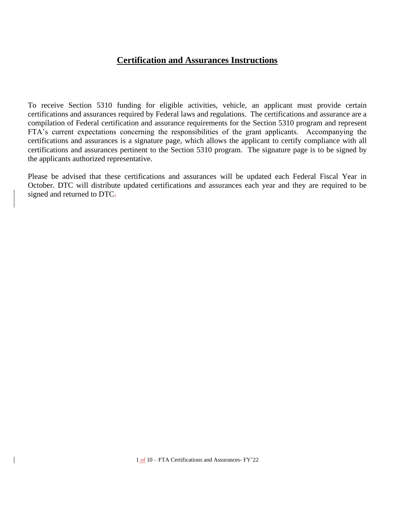# **Certification and Assurances Instructions**

To receive Section 5310 funding for eligible activities, vehicle, an applicant must provide certain certifications and assurances required by Federal laws and regulations. The certifications and assurance are a compilation of Federal certification and assurance requirements for the Section 5310 program and represent FTA's current expectations concerning the responsibilities of the grant applicants. Accompanying the certifications and assurances is a signature page, which allows the applicant to certify compliance with all certifications and assurances pertinent to the Section 5310 program. The signature page is to be signed by the applicants authorized representative.

Please be advised that these certifications and assurances will be updated each Federal Fiscal Year in October. DTC will distribute updated certifications and assurances each year and they are required to be signed and returned to DTC.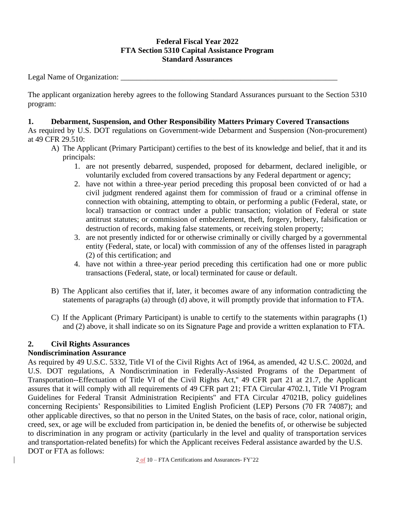# **Federal Fiscal Year 2022 FTA Section 5310 Capital Assistance Program Standard Assurances**

Legal Name of Organization: \_\_\_\_\_\_\_\_\_\_\_\_\_\_\_\_\_\_\_\_\_\_\_\_\_\_\_\_\_\_\_\_\_\_\_\_\_\_\_\_\_\_\_\_\_\_\_\_\_\_\_\_\_\_\_\_

The applicant organization hereby agrees to the following Standard Assurances pursuant to the Section 5310 program:

## **1. Debarment, Suspension, and Other Responsibility Matters Primary Covered Transactions**

As required by U.S. DOT regulations on Government-wide Debarment and Suspension (Non-procurement) at 49 CFR 29.510:

- A) The Applicant (Primary Participant) certifies to the best of its knowledge and belief, that it and its principals:
	- 1. are not presently debarred, suspended, proposed for debarment, declared ineligible, or voluntarily excluded from covered transactions by any Federal department or agency;
	- 2. have not within a three-year period preceding this proposal been convicted of or had a civil judgment rendered against them for commission of fraud or a criminal offense in connection with obtaining, attempting to obtain, or performing a public (Federal, state, or local) transaction or contract under a public transaction; violation of Federal or state antitrust statutes; or commission of embezzlement, theft, forgery, bribery, falsification or destruction of records, making false statements, or receiving stolen property;
	- 3. are not presently indicted for or otherwise criminally or civilly charged by a governmental entity (Federal, state, or local) with commission of any of the offenses listed in paragraph (2) of this certification; and
	- 4. have not within a three-year period preceding this certification had one or more public transactions (Federal, state, or local) terminated for cause or default.
- B) The Applicant also certifies that if, later, it becomes aware of any information contradicting the statements of paragraphs (a) through (d) above, it will promptly provide that information to FTA.
- C) If the Applicant (Primary Participant) is unable to certify to the statements within paragraphs (1) and (2) above, it shall indicate so on its Signature Page and provide a written explanation to FTA.

# **2. Civil Rights Assurances**

# **Nondiscrimination Assurance**

As required by 49 U.S.C. 5332, Title VI of the Civil Rights Act of 1964, as amended, 42 U.S.C. 2002d, and U.S. DOT regulations, A Nondiscrimination in Federally-Assisted Programs of the Department of Transportation--Effectuation of Title VI of the Civil Rights Act,'' 49 CFR part 21 at 21.7, the Applicant assures that it will comply with all requirements of 49 CFR part 21; FTA Circular 4702.1, Title VI Program Guidelines for Federal Transit Administration Recipients'' and FTA Circular 47021B, policy guidelines concerning Recipients' Responsibilities to Limited English Proficient (LEP) Persons (70 FR 74087); and other applicable directives, so that no person in the United States, on the basis of race, color, national origin, creed, sex, or age will be excluded from participation in, be denied the benefits of, or otherwise be subjected to discrimination in any program or activity (particularly in the level and quality of transportation services and transportation-related benefits) for which the Applicant receives Federal assistance awarded by the U.S. DOT or FTA as follows: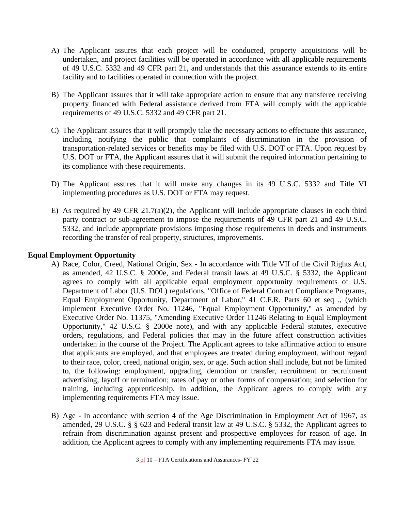- A) The Applicant assures that each project will be conducted, property acquisitions will be undertaken, and project facilities will be operated in accordance with all applicable requirements of 49 U.S.C. 5332 and 49 CFR part 21, and understands that this assurance extends to its entire facility and to facilities operated in connection with the project.
- B) The Applicant assures that it will take appropriate action to ensure that any transferee receiving property financed with Federal assistance derived from FTA will comply with the applicable requirements of 49 U.S.C. 5332 and 49 CFR part 21.
- C) The Applicant assures that it will promptly take the necessary actions to effectuate this assurance, including notifying the public that complaints of discrimination in the provision of transportation-related services or benefits may be filed with U.S. DOT or FTA. Upon request by U.S. DOT or FTA, the Applicant assures that it will submit the required information pertaining to its compliance with these requirements.
- D) The Applicant assures that it will make any changes in its 49 U.S.C. 5332 and Title VI implementing procedures as U.S. DOT or FTA may request.
- E) As required by 49 CFR 21.7(a)(2), the Applicant will include appropriate clauses in each third party contract or sub-agreement to impose the requirements of 49 CFR part 21 and 49 U.S.C. 5332, and include appropriate provisions imposing those requirements in deeds and instruments recording the transfer of real property, structures, improvements.

## **Equal Employment Opportunity**

- A) Race, Color, Creed, National Origin, Sex In accordance with Title VII of the Civil Rights Act, as amended, 42 U.S.C. § 2000e, and Federal transit laws at 49 U.S.C. § 5332, the Applicant agrees to comply with all applicable equal employment opportunity requirements of U.S. Department of Labor (U.S. DOL) regulations, "Office of Federal Contract Compliance Programs, Equal Employment Opportunity, Department of Labor," 41 C.F.R. Parts 60 et seq ., (which implement Executive Order No. 11246, "Equal Employment Opportunity," as amended by Executive Order No. 11375, "Amending Executive Order 11246 Relating to Equal Employment Opportunity," 42 U.S.C. § 2000e note), and with any applicable Federal statutes, executive orders, regulations, and Federal policies that may in the future affect construction activities undertaken in the course of the Project. The Applicant agrees to take affirmative action to ensure that applicants are employed, and that employees are treated during employment, without regard to their race, color, creed, national origin, sex, or age. Such action shall include, but not be limited to, the following: employment, upgrading, demotion or transfer, recruitment or recruitment advertising, layoff or termination; rates of pay or other forms of compensation; and selection for training, including apprenticeship. In addition, the Applicant agrees to comply with any implementing requirements FTA may issue.
- B) Age In accordance with section 4 of the Age Discrimination in Employment Act of 1967, as amended, 29 U.S.C. § § 623 and Federal transit law at 49 U.S.C. § 5332, the Applicant agrees to refrain from discrimination against present and prospective employees for reason of age. In addition, the Applicant agrees to comply with any implementing requirements FTA may issue.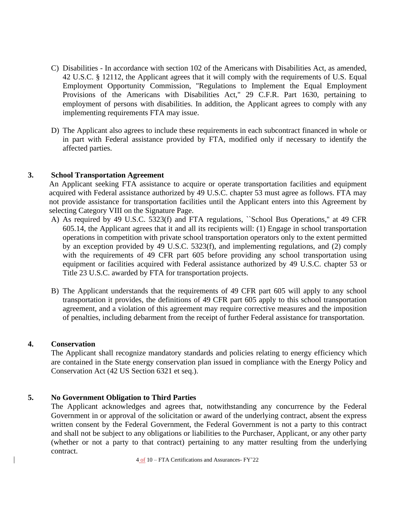- C) Disabilities In accordance with section 102 of the Americans with Disabilities Act, as amended, 42 U.S.C. § 12112, the Applicant agrees that it will comply with the requirements of U.S. Equal Employment Opportunity Commission, "Regulations to Implement the Equal Employment Provisions of the Americans with Disabilities Act," 29 C.F.R. Part 1630, pertaining to employment of persons with disabilities. In addition, the Applicant agrees to comply with any implementing requirements FTA may issue.
- D) The Applicant also agrees to include these requirements in each subcontract financed in whole or in part with Federal assistance provided by FTA, modified only if necessary to identify the affected parties.

#### **3. School Transportation Agreement**

An Applicant seeking FTA assistance to acquire or operate transportation facilities and equipment acquired with Federal assistance authorized by 49 U.S.C. chapter 53 must agree as follows. FTA may not provide assistance for transportation facilities until the Applicant enters into this Agreement by selecting Category VIII on the Signature Page.

- A) As required by 49 U.S.C. 5323(f) and FTA regulations, ``School Bus Operations,'' at 49 CFR 605.14, the Applicant agrees that it and all its recipients will: (1) Engage in school transportation operations in competition with private school transportation operators only to the extent permitted by an exception provided by 49 U.S.C. 5323(f), and implementing regulations, and (2) comply with the requirements of 49 CFR part 605 before providing any school transportation using equipment or facilities acquired with Federal assistance authorized by 49 U.S.C. chapter 53 or Title 23 U.S.C. awarded by FTA for transportation projects.
- B) The Applicant understands that the requirements of 49 CFR part 605 will apply to any school transportation it provides, the definitions of 49 CFR part 605 apply to this school transportation agreement, and a violation of this agreement may require corrective measures and the imposition of penalties, including debarment from the receipt of further Federal assistance for transportation.

#### **4. Conservation**

The Applicant shall recognize mandatory standards and policies relating to energy efficiency which are contained in the State energy conservation plan issued in compliance with the Energy Policy and Conservation Act (42 US Section 6321 et seq.).

#### **5. No Government Obligation to Third Parties**

The Applicant acknowledges and agrees that, notwithstanding any concurrence by the Federal Government in or approval of the solicitation or award of the underlying contract, absent the express written consent by the Federal Government, the Federal Government is not a party to this contract and shall not be subject to any obligations or liabilities to the Purchaser, Applicant, or any other party (whether or not a party to that contract) pertaining to any matter resulting from the underlying contract.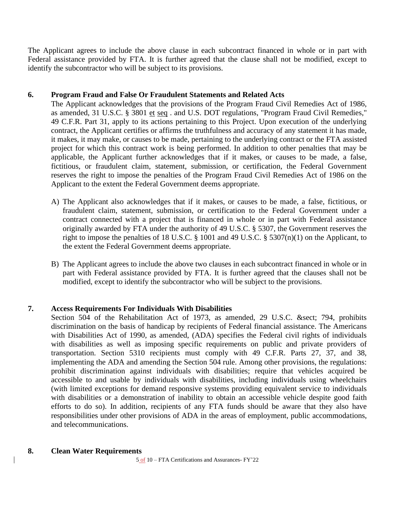The Applicant agrees to include the above clause in each subcontract financed in whole or in part with Federal assistance provided by FTA. It is further agreed that the clause shall not be modified, except to identify the subcontractor who will be subject to its provisions.

## **6. Program Fraud and False Or Fraudulent Statements and Related Acts**

The Applicant acknowledges that the provisions of the Program Fraud Civil Remedies Act of 1986, as amended, 31 U.S.C. § 3801 et seq . and U.S. DOT regulations, "Program Fraud Civil Remedies," 49 C.F.R. Part 31, apply to its actions pertaining to this Project. Upon execution of the underlying contract, the Applicant certifies or affirms the truthfulness and accuracy of any statement it has made, it makes, it may make, or causes to be made, pertaining to the underlying contract or the FTA assisted project for which this contract work is being performed. In addition to other penalties that may be applicable, the Applicant further acknowledges that if it makes, or causes to be made, a false, fictitious, or fraudulent claim, statement, submission, or certification, the Federal Government reserves the right to impose the penalties of the Program Fraud Civil Remedies Act of 1986 on the Applicant to the extent the Federal Government deems appropriate.

- A) The Applicant also acknowledges that if it makes, or causes to be made, a false, fictitious, or fraudulent claim, statement, submission, or certification to the Federal Government under a contract connected with a project that is financed in whole or in part with Federal assistance originally awarded by FTA under the authority of 49 U.S.C. § 5307, the Government reserves the right to impose the penalties of 18 U.S.C. § 1001 and 49 U.S.C. § 5307(n)(1) on the Applicant, to the extent the Federal Government deems appropriate.
- B) The Applicant agrees to include the above two clauses in each subcontract financed in whole or in part with Federal assistance provided by FTA. It is further agreed that the clauses shall not be modified, except to identify the subcontractor who will be subject to the provisions.

#### **7. Access Requirements For Individuals With Disabilities**

Section 504 of the Rehabilitation Act of 1973, as amended, 29 U.S.C. & sect; 794, prohibits discrimination on the basis of handicap by recipients of Federal financial assistance. The Americans with Disabilities Act of 1990, as amended, (ADA) specifies the Federal civil rights of individuals with disabilities as well as imposing specific requirements on public and private providers of transportation. Section 5310 recipients must comply with 49 C.F.R. Parts 27, 37, and 38, implementing the ADA and amending the Section 504 rule. Among other provisions, the regulations: prohibit discrimination against individuals with disabilities; require that vehicles acquired be accessible to and usable by individuals with disabilities, including individuals using wheelchairs (with limited exceptions for demand responsive systems providing equivalent service to individuals with disabilities or a demonstration of inability to obtain an accessible vehicle despite good faith efforts to do so). In addition, recipients of any FTA funds should be aware that they also have responsibilities under other provisions of ADA in the areas of employment, public accommodations, and telecommunications.

#### **8. Clean Water Requirements**

5 of 10 – FTA Certifications and Assurances- FY'22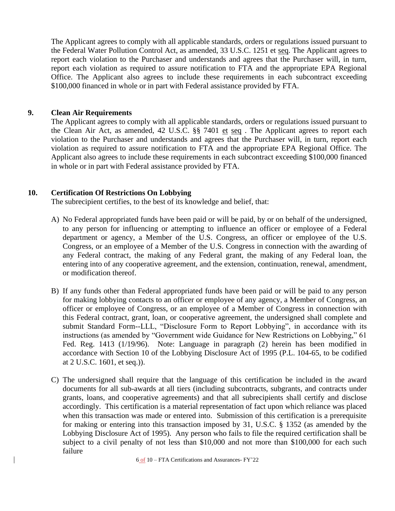The Applicant agrees to comply with all applicable standards, orders or regulations issued pursuant to the Federal Water Pollution Control Act, as amended, 33 U.S.C. 1251 et seq. The Applicant agrees to report each violation to the Purchaser and understands and agrees that the Purchaser will, in turn, report each violation as required to assure notification to FTA and the appropriate EPA Regional Office. The Applicant also agrees to include these requirements in each subcontract exceeding \$100,000 financed in whole or in part with Federal assistance provided by FTA.

#### **9. Clean Air Requirements**

The Applicant agrees to comply with all applicable standards, orders or regulations issued pursuant to the Clean Air Act, as amended, 42 U.S.C. §§ 7401 et seq . The Applicant agrees to report each violation to the Purchaser and understands and agrees that the Purchaser will, in turn, report each violation as required to assure notification to FTA and the appropriate EPA Regional Office. The Applicant also agrees to include these requirements in each subcontract exceeding \$100,000 financed in whole or in part with Federal assistance provided by FTA.

#### **10. Certification Of Restrictions On Lobbying**

The subrecipient certifies, to the best of its knowledge and belief, that:

- A) No Federal appropriated funds have been paid or will be paid, by or on behalf of the undersigned, to any person for influencing or attempting to influence an officer or employee of a Federal department or agency, a Member of the U.S. Congress, an officer or employee of the U.S. Congress, or an employee of a Member of the U.S. Congress in connection with the awarding of any Federal contract, the making of any Federal grant, the making of any Federal loan, the entering into of any cooperative agreement, and the extension, continuation, renewal, amendment, or modification thereof.
- B) If any funds other than Federal appropriated funds have been paid or will be paid to any person for making lobbying contacts to an officer or employee of any agency, a Member of Congress, an officer or employee of Congress, or an employee of a Member of Congress in connection with this Federal contract, grant, loan, or cooperative agreement, the undersigned shall complete and submit Standard Form--LLL, "Disclosure Form to Report Lobbying", in accordance with its instructions (as amended by "Government wide Guidance for New Restrictions on Lobbying," 61 Fed. Reg. 1413 (1/19/96). Note: Language in paragraph (2) herein has been modified in accordance with Section 10 of the Lobbying Disclosure Act of 1995 (P.L. 104-65, to be codified at 2 U.S.C. 1601, et seq.)).
- C) The undersigned shall require that the language of this certification be included in the award documents for all sub-awards at all tiers (including subcontracts, subgrants, and contracts under grants, loans, and cooperative agreements) and that all subrecipients shall certify and disclose accordingly. This certification is a material representation of fact upon which reliance was placed when this transaction was made or entered into. Submission of this certification is a prerequisite for making or entering into this transaction imposed by 31, U.S.C. § 1352 (as amended by the Lobbying Disclosure Act of 1995). Any person who fails to file the required certification shall be subject to a civil penalty of not less than \$10,000 and not more than \$100,000 for each such failure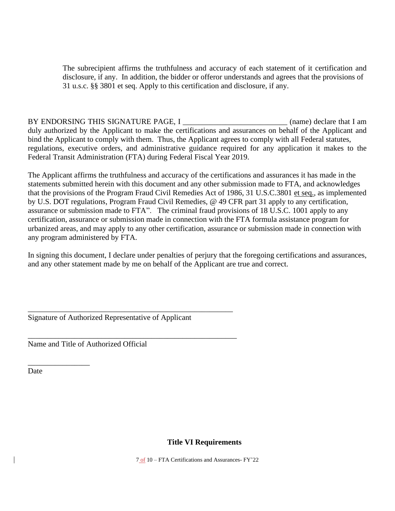The subrecipient affirms the truthfulness and accuracy of each statement of it certification and disclosure, if any. In addition, the bidder or offeror understands and agrees that the provisions of 31 u.s.c. §§ 3801 et seq. Apply to this certification and disclosure, if any.

BY ENDORSING THIS SIGNATURE PAGE, I \_\_\_\_\_\_\_\_\_\_\_\_\_\_\_\_\_\_\_\_\_\_\_\_\_\_\_\_\_\_\_ (name) declare that I am duly authorized by the Applicant to make the certifications and assurances on behalf of the Applicant and bind the Applicant to comply with them. Thus, the Applicant agrees to comply with all Federal statutes, regulations, executive orders, and administrative guidance required for any application it makes to the Federal Transit Administration (FTA) during Federal Fiscal Year 2019.

The Applicant affirms the truthfulness and accuracy of the certifications and assurances it has made in the statements submitted herein with this document and any other submission made to FTA, and acknowledges that the provisions of the Program Fraud Civil Remedies Act of 1986, 31 U.S.C.3801 et seq., as implemented by U.S. DOT regulations, Program Fraud Civil Remedies, @ 49 CFR part 31 apply to any certification, assurance or submission made to FTA". The criminal fraud provisions of 18 U.S.C. 1001 apply to any certification, assurance or submission made in connection with the FTA formula assistance program for urbanized areas, and may apply to any other certification, assurance or submission made in connection with any program administered by FTA.

In signing this document, I declare under penalties of perjury that the foregoing certifications and assurances, and any other statement made by me on behalf of the Applicant are true and correct.

\_\_\_\_\_\_\_\_\_\_\_\_\_\_\_\_\_\_\_\_\_\_\_\_\_\_\_\_\_\_\_\_\_\_\_\_\_\_\_\_\_\_\_\_\_\_\_\_\_\_\_\_\_ Signature of Authorized Representative of Applicant

\_\_\_\_\_\_\_\_\_\_\_\_\_\_\_\_\_\_\_\_\_\_\_\_\_\_\_\_\_\_\_\_\_\_\_\_\_\_\_\_\_\_\_\_\_\_\_\_\_\_\_\_\_\_

Name and Title of Authorized Official

**Date** 

\_\_\_\_\_\_\_\_\_\_\_\_\_\_\_\_

# **Title VI Requirements**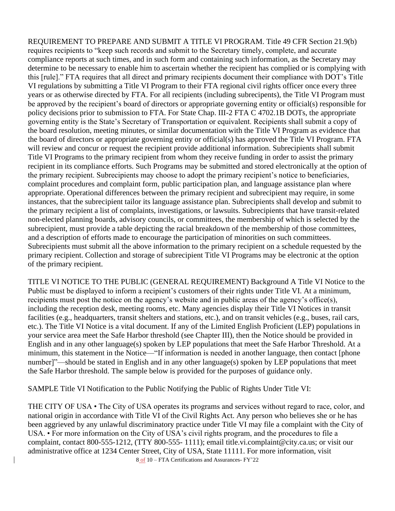REQUIREMENT TO PREPARE AND SUBMIT A TITLE VI PROGRAM. Title 49 CFR Section 21.9(b) requires recipients to "keep such records and submit to the Secretary timely, complete, and accurate compliance reports at such times, and in such form and containing such information, as the Secretary may determine to be necessary to enable him to ascertain whether the recipient has complied or is complying with this [rule]." FTA requires that all direct and primary recipients document their compliance with DOT's Title VI regulations by submitting a Title VI Program to their FTA regional civil rights officer once every three years or as otherwise directed by FTA. For all recipients (including subrecipents), the Title VI Program must be approved by the recipient's board of directors or appropriate governing entity or official(s) responsible for policy decisions prior to submission to FTA. For State Chap. III-2 FTA C 4702.1B DOTs, the appropriate governing entity is the State's Secretary of Transportation or equivalent. Recipients shall submit a copy of the board resolution, meeting minutes, or similar documentation with the Title VI Program as evidence that the board of directors or appropriate governing entity or official(s) has approved the Title VI Program. FTA will review and concur or request the recipient provide additional information. Subrecipients shall submit Title VI Programs to the primary recipient from whom they receive funding in order to assist the primary recipient in its compliance efforts. Such Programs may be submitted and stored electronically at the option of the primary recipient. Subrecipients may choose to adopt the primary recipient's notice to beneficiaries, complaint procedures and complaint form, public participation plan, and language assistance plan where appropriate. Operational differences between the primary recipient and subrecipient may require, in some instances, that the subrecipient tailor its language assistance plan. Subrecipients shall develop and submit to the primary recipient a list of complaints, investigations, or lawsuits. Subrecipients that have transit-related non-elected planning boards, advisory councils, or committees, the membership of which is selected by the subrecipient, must provide a table depicting the racial breakdown of the membership of those committees, and a description of efforts made to encourage the participation of minorities on such committees. Subrecipients must submit all the above information to the primary recipient on a schedule requested by the primary recipient. Collection and storage of subrecipient Title VI Programs may be electronic at the option of the primary recipient.

TITLE VI NOTICE TO THE PUBLIC (GENERAL REQUIREMENT) Background A Title VI Notice to the Public must be displayed to inform a recipient's customers of their rights under Title VI. At a minimum, recipients must post the notice on the agency's website and in public areas of the agency's office(s), including the reception desk, meeting rooms, etc. Many agencies display their Title VI Notices in transit facilities (e.g., headquarters, transit shelters and stations, etc.), and on transit vehicles (e.g., buses, rail cars, etc.). The Title VI Notice is a vital document. If any of the Limited English Proficient (LEP) populations in your service area meet the Safe Harbor threshold (see Chapter III), then the Notice should be provided in English and in any other language(s) spoken by LEP populations that meet the Safe Harbor Threshold. At a minimum, this statement in the Notice—"If information is needed in another language, then contact [phone number]"—should be stated in English and in any other language(s) spoken by LEP populations that meet the Safe Harbor threshold. The sample below is provided for the purposes of guidance only.

SAMPLE Title VI Notification to the Public Notifying the Public of Rights Under Title VI:

THE CITY OF USA • The City of USA operates its programs and services without regard to race, color, and national origin in accordance with Title VI of the Civil Rights Act. Any person who believes she or he has been aggrieved by any unlawful discriminatory practice under Title VI may file a complaint with the City of USA. • For more information on the City of USA's civil rights program, and the procedures to file a complaint, contact 800-555-1212, (TTY 800-555- 1111); email title.vi.complaint@city.ca.us; or visit our administrative office at 1234 Center Street, City of USA, State 11111. For more information, visit

8 of 10 – FTA Certifications and Assurances- FY'22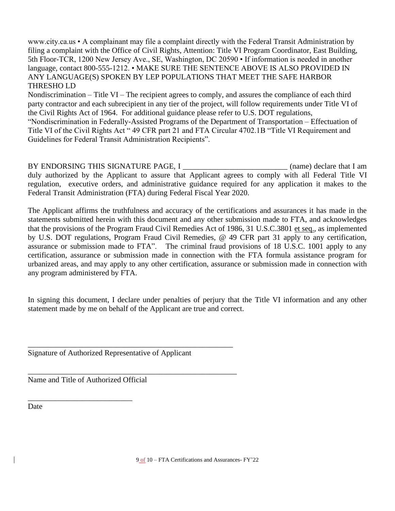www.city.ca.us • A complainant may file a complaint directly with the Federal Transit Administration by filing a complaint with the Office of Civil Rights, Attention: Title VI Program Coordinator, East Building, 5th Floor-TCR, 1200 New Jersey Ave., SE, Washington, DC 20590 • If information is needed in another language, contact 800-555-1212. • MAKE SURE THE SENTENCE ABOVE IS ALSO PROVIDED IN ANY LANGUAGE(S) SPOKEN BY LEP POPULATIONS THAT MEET THE SAFE HARBOR THRESHO LD

Nondiscrimination – Title VI – The recipient agrees to comply, and assures the compliance of each third party contractor and each subrecipient in any tier of the project, will follow requirements under Title VI of the Civil Rights Act of 1964. For additional guidance please refer to U.S. DOT regulations, "Nondiscrimination in Federally-Assisted Programs of the Department of Transportation – Effectuation of Title VI of the Civil Rights Act " 49 CFR part 21 and FTA Circular 4702.1B "Title VI Requirement and Guidelines for Federal Transit Administration Recipients".

BY ENDORSING THIS SIGNATURE PAGE, I \_\_\_\_\_\_\_\_\_\_\_\_\_\_\_\_\_\_\_\_\_\_\_\_\_\_\_ (name) declare that I am duly authorized by the Applicant to assure that Applicant agrees to comply with all Federal Title VI regulation, executive orders, and administrative guidance required for any application it makes to the Federal Transit Administration (FTA) during Federal Fiscal Year 2020.

The Applicant affirms the truthfulness and accuracy of the certifications and assurances it has made in the statements submitted herein with this document and any other submission made to FTA, and acknowledges that the provisions of the Program Fraud Civil Remedies Act of 1986, 31 U.S.C.3801 et seq., as implemented by U.S. DOT regulations, Program Fraud Civil Remedies, @ 49 CFR part 31 apply to any certification, assurance or submission made to FTA". The criminal fraud provisions of 18 U.S.C. 1001 apply to any certification, assurance or submission made in connection with the FTA formula assistance program for urbanized areas, and may apply to any other certification, assurance or submission made in connection with any program administered by FTA.

In signing this document, I declare under penalties of perjury that the Title VI information and any other statement made by me on behalf of the Applicant are true and correct.

Signature of Authorized Representative of Applicant

\_\_\_\_\_\_\_\_\_\_\_\_\_\_\_\_\_\_\_\_\_\_\_\_\_\_\_\_\_\_\_\_\_\_\_\_\_\_\_\_\_\_\_\_\_\_\_\_\_\_\_\_\_

\_\_\_\_\_\_\_\_\_\_\_\_\_\_\_\_\_\_\_\_\_\_\_\_\_\_\_\_\_\_\_\_\_\_\_\_\_\_\_\_\_\_\_\_\_\_\_\_\_\_\_\_\_\_ Name and Title of Authorized Official

\_\_\_\_\_\_\_\_\_\_\_\_\_\_\_\_\_\_\_\_\_\_\_\_\_\_\_

Date